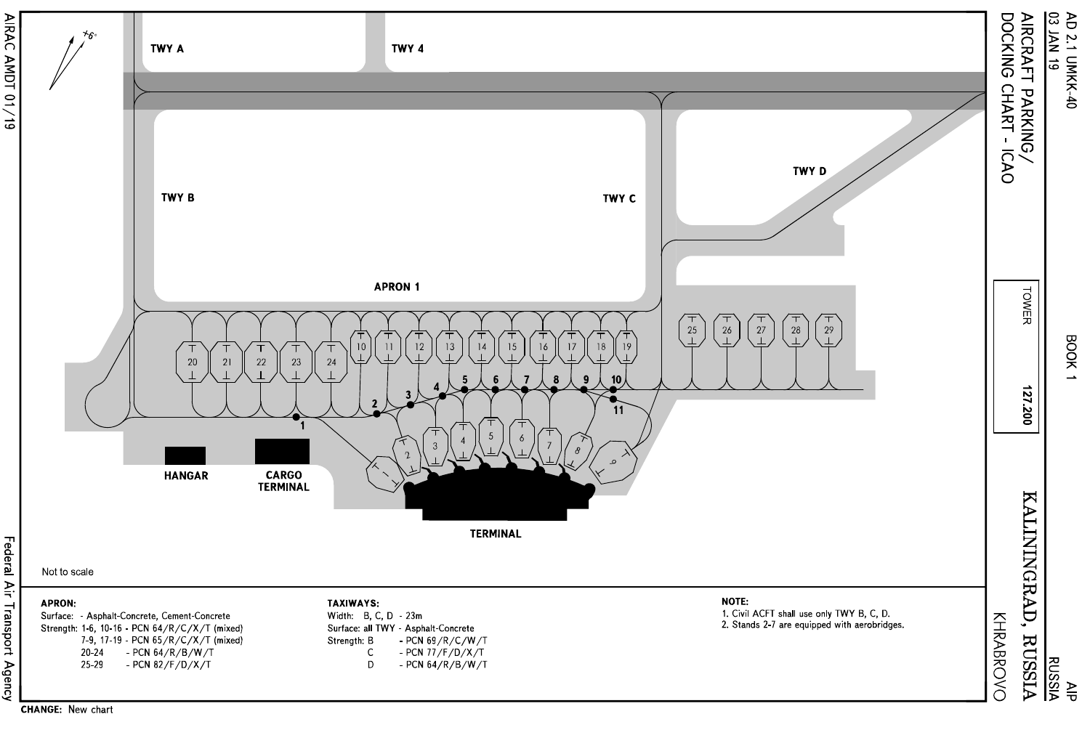

**CHANGE: New chart**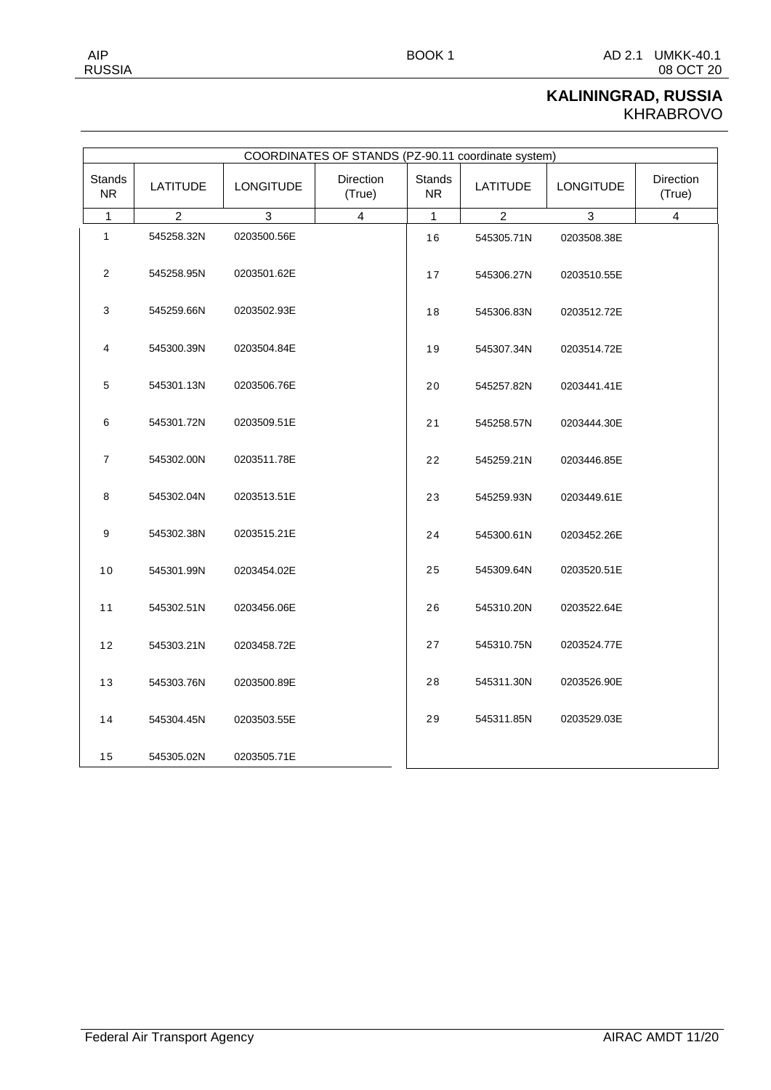## **KALININGRAD, RUSSIA** KHRABROVO

|               |        | KALININGRAD, RUSSIA |           |
|---------------|--------|---------------------|-----------|
| <b>RUSSIA</b> |        |                     | 08 OCT 20 |
| AIP           | BOOK 1 | AD 2.1              | UMKK-40.1 |

| COORDINATES OF STANDS (PZ-90.11 coordinate system) |                 |                  |                            |                            |                 |                  |                     |  |  |
|----------------------------------------------------|-----------------|------------------|----------------------------|----------------------------|-----------------|------------------|---------------------|--|--|
| Stands<br><b>NR</b>                                | <b>LATITUDE</b> | <b>LONGITUDE</b> | <b>Direction</b><br>(True) | <b>Stands</b><br><b>NR</b> | <b>LATITUDE</b> | <b>LONGITUDE</b> | Direction<br>(True) |  |  |
| 1                                                  | 2               | 3                | $\overline{4}$             | 1                          | $\overline{2}$  | 3                | 4                   |  |  |
| 1                                                  | 545258.32N      | 0203500.56E      |                            | 16                         | 545305.71N      | 0203508.38E      |                     |  |  |
| 2                                                  | 545258.95N      | 0203501.62E      |                            | 17                         | 545306.27N      | 0203510.55E      |                     |  |  |
| 3                                                  | 545259.66N      | 0203502.93E      |                            | 18                         | 545306.83N      | 0203512.72E      |                     |  |  |
| 4                                                  | 545300.39N      | 0203504.84E      |                            | 19                         | 545307.34N      | 0203514.72E      |                     |  |  |
| 5                                                  | 545301.13N      | 0203506.76E      |                            | 20                         | 545257.82N      | 0203441.41E      |                     |  |  |
| 6                                                  | 545301.72N      | 0203509.51E      |                            | 21                         | 545258.57N      | 0203444.30E      |                     |  |  |
| $\overline{7}$                                     | 545302.00N      | 0203511.78E      |                            | 22                         | 545259.21N      | 0203446.85E      |                     |  |  |
| 8                                                  | 545302.04N      | 0203513.51E      |                            | 23                         | 545259.93N      | 0203449.61E      |                     |  |  |
| 9                                                  | 545302.38N      | 0203515.21E      |                            | 24                         | 545300.61N      | 0203452.26E      |                     |  |  |
| 10                                                 | 545301.99N      | 0203454.02E      |                            | 25                         | 545309.64N      | 0203520.51E      |                     |  |  |
| 11                                                 | 545302.51N      | 0203456.06E      |                            | 26                         | 545310.20N      | 0203522.64E      |                     |  |  |
| 12                                                 | 545303.21N      | 0203458.72E      |                            | 27                         | 545310.75N      | 0203524.77E      |                     |  |  |
| 13                                                 | 545303.76N      | 0203500.89E      |                            | 28                         | 545311.30N      | 0203526.90E      |                     |  |  |

545311.85N 0203529.03E

545304.45N 0203503.55E

545305.02N 0203505.71E